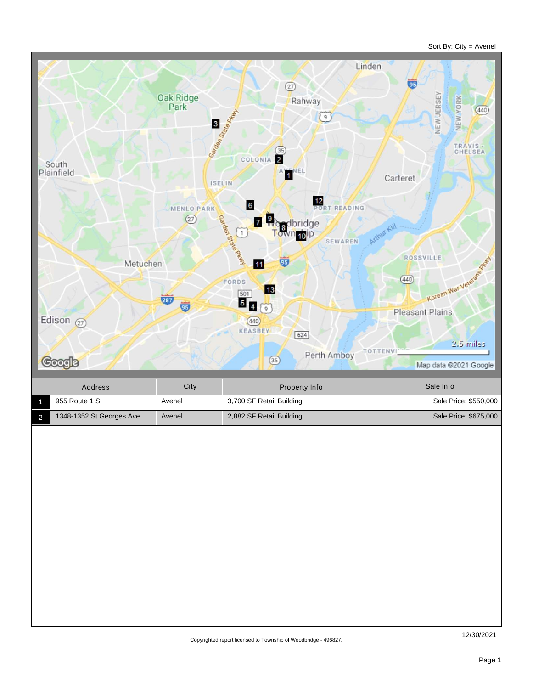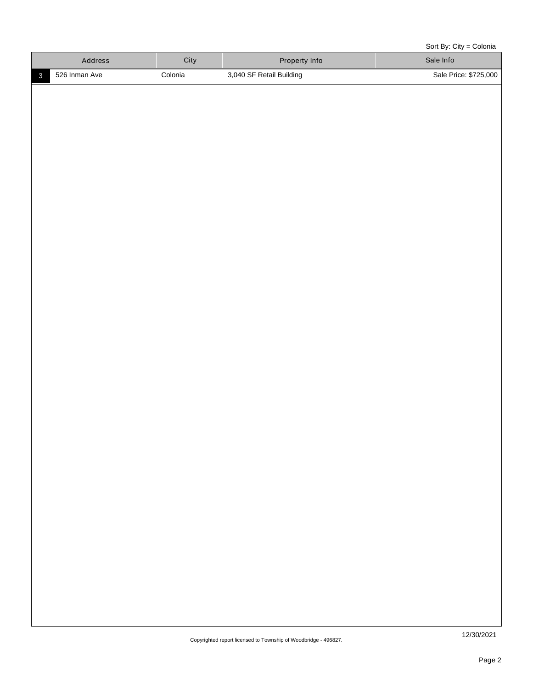Sort By: City = Colonia

| Address |               | City    | <b>Property Info</b>     | Sale Info             |
|---------|---------------|---------|--------------------------|-----------------------|
|         | 526 Inman Ave | Colonia | 3,040 SF Retail Building | Sale Price: \$725,000 |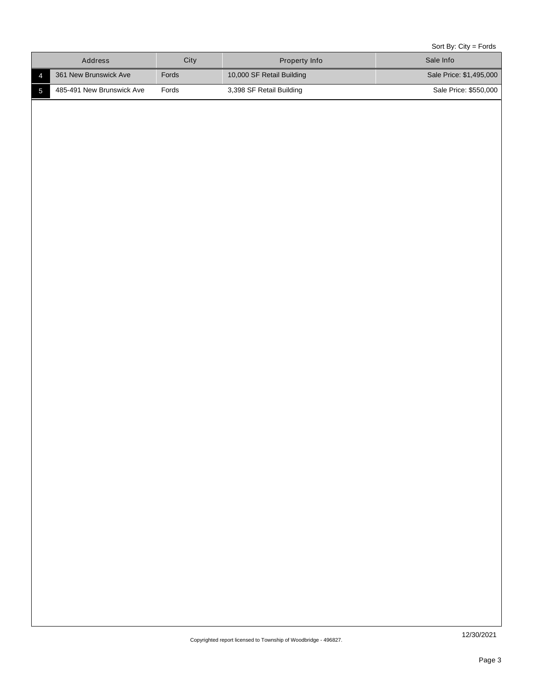Sort By: City = Fords

| Address                                     | City  | Property Info             | $0011$ by: $011y - 10103$<br>Sale Info |
|---------------------------------------------|-------|---------------------------|----------------------------------------|
| 361 New Brunswick Ave<br>$\overline{4}$     | Fords | 10,000 SF Retail Building | Sale Price: \$1,495,000                |
| 485-491 New Brunswick Ave<br>$\overline{5}$ | Fords | 3,398 SF Retail Building  | Sale Price: \$550,000                  |
|                                             |       |                           |                                        |
|                                             |       |                           |                                        |
|                                             |       |                           |                                        |
|                                             |       |                           |                                        |
|                                             |       |                           |                                        |
|                                             |       |                           |                                        |
|                                             |       |                           |                                        |
|                                             |       |                           |                                        |
|                                             |       |                           |                                        |
|                                             |       |                           |                                        |
|                                             |       |                           |                                        |
|                                             |       |                           |                                        |
|                                             |       |                           |                                        |
|                                             |       |                           |                                        |
|                                             |       |                           |                                        |
|                                             |       |                           |                                        |
|                                             |       |                           |                                        |
|                                             |       |                           |                                        |
|                                             |       |                           |                                        |
|                                             |       |                           |                                        |
|                                             |       |                           |                                        |
|                                             |       |                           |                                        |
|                                             |       |                           |                                        |
|                                             |       |                           |                                        |
|                                             |       |                           |                                        |
|                                             |       |                           |                                        |
|                                             |       |                           |                                        |
|                                             |       |                           |                                        |
|                                             |       |                           |                                        |
|                                             |       |                           |                                        |
|                                             |       |                           |                                        |
|                                             |       |                           |                                        |
|                                             |       |                           |                                        |
|                                             |       |                           |                                        |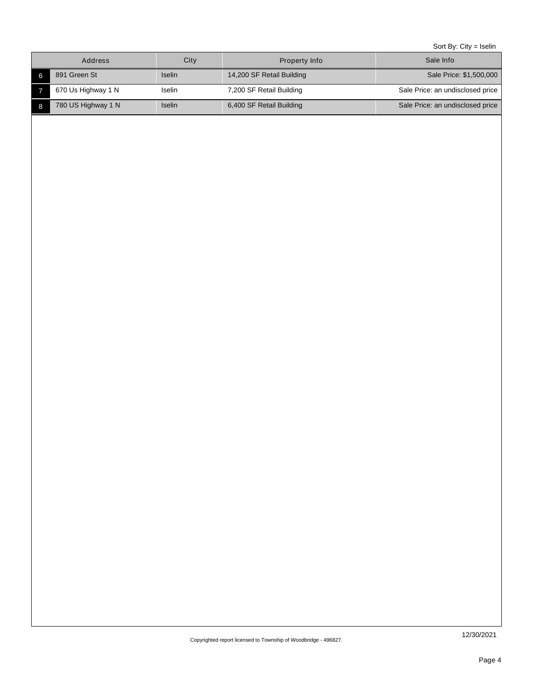Sort By: City = Iselin

| Address            | City          | Property Info             | Sale Info                        |
|--------------------|---------------|---------------------------|----------------------------------|
| 891 Green St       | <b>Iselin</b> | 14,200 SF Retail Building | Sale Price: \$1,500,000          |
| 670 Us Highway 1 N | Iselin        | 7,200 SF Retail Building  | Sale Price: an undisclosed price |
| 780 US Highway 1 N | <b>Iselin</b> | 6,400 SF Retail Building  | Sale Price: an undisclosed price |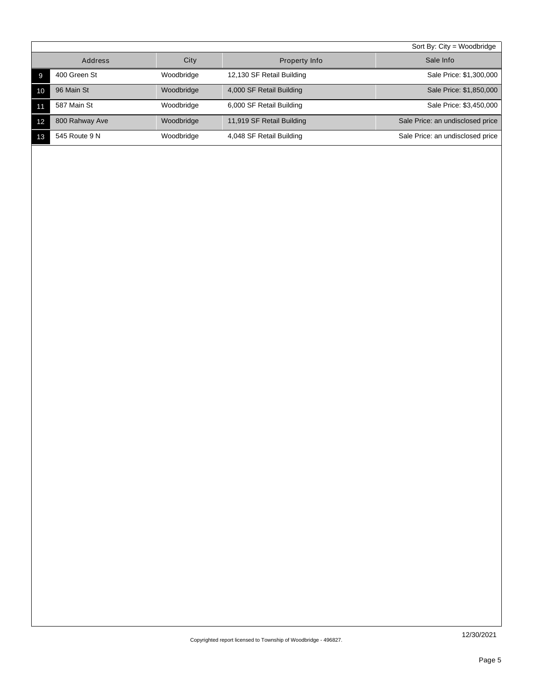|    |                |            |                           | Sort By: $City = Woodbridge$     |
|----|----------------|------------|---------------------------|----------------------------------|
|    | Address        | City       | Property Info             | Sale Info                        |
|    | 400 Green St   | Woodbridge | 12,130 SF Retail Building | Sale Price: \$1,300,000          |
| 10 | 96 Main St     | Woodbridge | 4,000 SF Retail Building  | Sale Price: \$1,850,000          |
|    | 587 Main St    | Woodbridge | 6,000 SF Retail Building  | Sale Price: \$3,450,000          |
| 12 | 800 Rahway Ave | Woodbridge | 11,919 SF Retail Building | Sale Price: an undisclosed price |
| 13 | 545 Route 9 N  | Woodbridge | 4,048 SF Retail Building  | Sale Price: an undisclosed price |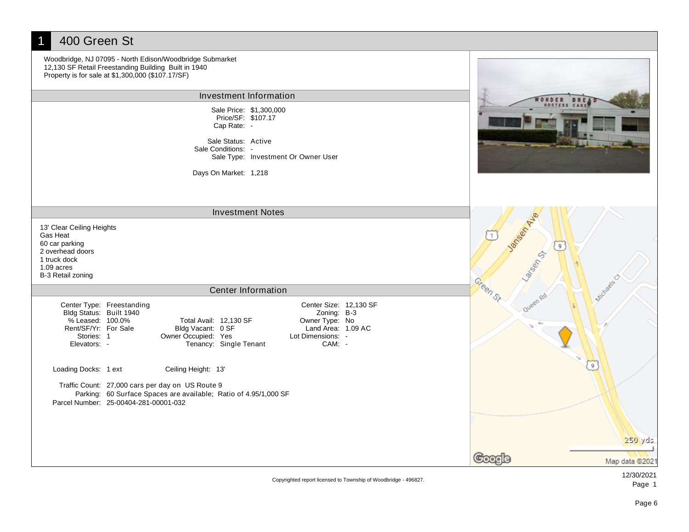| 400 Green St<br>Woodbridge, NJ 07095 - North Edison/Woodbridge Submarket<br>12,130 SF Retail Freestanding Building Built in 1940<br>Property is for sale at \$1,300,000 (\$107.17/SF)                                                                                                                                                          |                                             |
|------------------------------------------------------------------------------------------------------------------------------------------------------------------------------------------------------------------------------------------------------------------------------------------------------------------------------------------------|---------------------------------------------|
| Investment Information                                                                                                                                                                                                                                                                                                                         |                                             |
| Sale Price: \$1,300,000<br>Price/SF: \$107.17<br>Cap Rate: -<br>Sale Status: Active                                                                                                                                                                                                                                                            |                                             |
| Sale Conditions: -<br>Sale Type: Investment Or Owner User                                                                                                                                                                                                                                                                                      |                                             |
| Days On Market: 1,218                                                                                                                                                                                                                                                                                                                          |                                             |
| <b>Investment Notes</b>                                                                                                                                                                                                                                                                                                                        |                                             |
| 13' Clear Ceiling Heights<br>Gas Heat<br>60 car parking<br>2 overhead doors<br>1 truck dock<br>$1.09$ acres<br>B-3 Retail zoning                                                                                                                                                                                                               | Jansen River<br>$\left(9\right)$<br>Larsens |
| <b>Center Information</b>                                                                                                                                                                                                                                                                                                                      | Green St                                    |
| Center Size: 12,130 SF<br>Center Type: Freestanding<br>Bldg Status: Built 1940<br>Zoning: B-3<br>% Leased: 100.0%<br>Owner Type: No<br>Total Avail: 12,130 SF<br>Land Area: 1.09 AC<br>Rent/SF/Yr: For Sale<br>Bldg Vacant: 0 SF<br>Owner Occupied: Yes<br>Lot Dimensions: -<br>Stories: 1<br>Tenancy: Single Tenant<br>Elevators: -<br>CAM: - | Queen                                       |
| Loading Docks: 1 ext<br>Ceiling Height: 13'                                                                                                                                                                                                                                                                                                    |                                             |
| Traffic Count: 27,000 cars per day on US Route 9<br>Parking: 60 Surface Spaces are available; Ratio of 4.95/1,000 SF<br>Parcel Number: 25-00404-281-00001-032                                                                                                                                                                                  | 250 yds                                     |
|                                                                                                                                                                                                                                                                                                                                                |                                             |
|                                                                                                                                                                                                                                                                                                                                                | Map data @2021                              |

Copyrighted report licensed to Township of Woodbridge - 496827.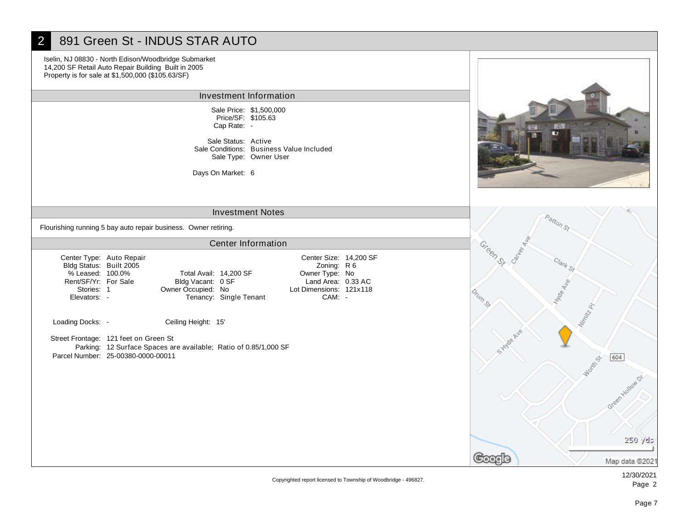# 2 891 Green St - INDUS STAR AUTO

Iselin, NJ 08830 - North Edison/Woodbridge Submarket 14,200 SF Retail Auto Repair Building Built in 2005 Property is for sale at \$1,500,000 (\$105.63/SF)

#### Investment Information

Sale Price: \$1,500,000 Cap Rate: - Price/SF: \$105.63

Sale Status: Active Sale Type: Owner User Sale Conditions: Business Value Included

Days On Market: 6

### Investment Notes

Flourishing running 5 bay auto repair business. Owner retiring.

### Center Information

Center Type: Auto Repair Bldg Status: Built 2005 Rent/SF/Yr: For Sale % Leased: 100.0% Stories: 1 Elevators: -

Bldg Vacant: 0 SF Total Avail: 14,200 SF Owner Occupied: No Lot Dimensions: 121x118<br>
Tenancy: Single Tenant CAM: -Tenancy: Single Tenant

Loading Docks: - Ceiling Height: 15'

Street Frontage: 121 feet on Green St Parking: 12 Surface Spaces are available; Ratio of 0.85/1,000 SF Parcel Number: 25-00380-0000-00011





Copyrighted report licensed to Township of Woodbridge - 496827.

Owner Type: No

Center Size: 14,200 SF Zoning: R 6 Land Area: 0.33 AC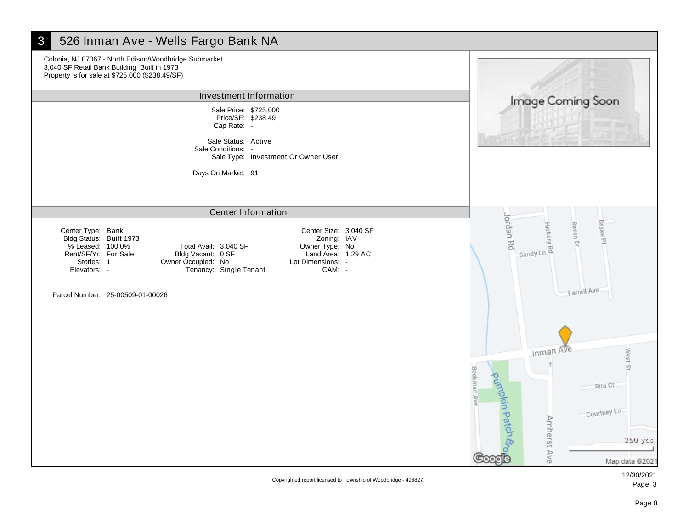

#### 12/30/2021 Page 3

Copyrighted report licensed to Township of Woodbridge - 496827.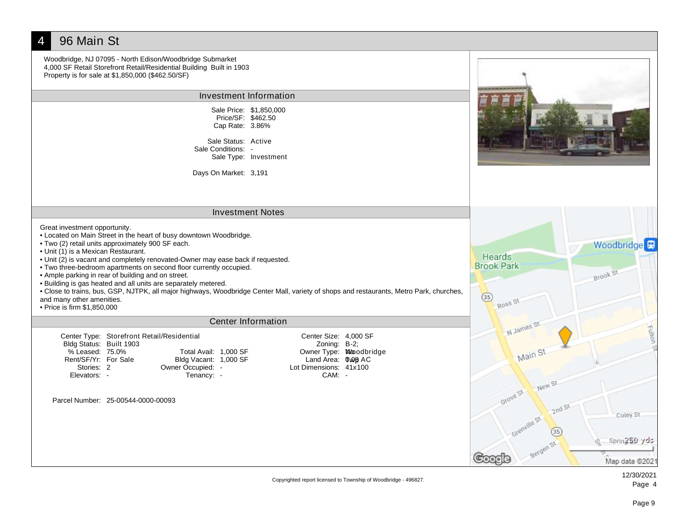

Copyrighted report licensed to Township of Woodbridge - 496827.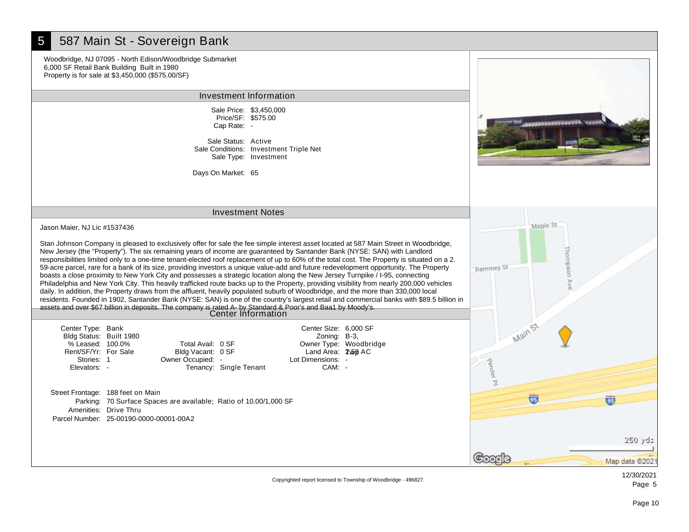# 5 587 Main St - Sovereign Bank

Woodbridge, NJ 07095 - North Edison/Woodbridge Submarket 6,000 SF Retail Bank Building Built in 1980 Property is for sale at \$3,450,000 (\$575.00/SF)

Investment Information

Sale Price: \$3,450,000 Cap Rate: - Price/SF: \$575.00

Sale Status: Active Sale Type: Investment Sale Conditions: Investment Triple Net

Days On Market: 65

### Investment Notes

Jason Maier, NJ Lic #1537436

Stan Johnson Company is pleased to exclusively offer for sale the fee simple interest asset located at 587 Main Street in Woodbridge, New Jersey (the "Property"). The six remaining years of income are guaranteed by Santander Bank (NYSE: SAN) with Landlord responsibilities limited only to a one-time tenant-elected roof replacement of up to 60% of the total cost. The Property is situated on a 2. 59-acre parcel, rare for a bank of its size, providing investors a unique value-add and future redevelopment opportunity. The Property boasts a close proximity to New York City and possesses a strategic location along the New Jersey Turnpike / I-95, connecting Philadelphia and New York City. This heavily trafficked route backs up to the Property, providing visibility from nearly 200,000 vehicles daily. In addition, the Property draws from the affluent, heavily populated suburb of Woodbridge, and the more than 330,000 local residents. Founded in 1902, Santander Bank (NYSE: SAN) is one of the country's largest retail and commercial banks with \$89.5 billion in assets and over \$67 billion in deposits. The company is rated A- by Standard & Poor's and Baa1 by Moody's. Center Information

| Center Type: Bank       |                   |
|-------------------------|-------------------|
| Bldg Status: Built 1980 |                   |
| % Leased: 100.0%        | Total.            |
| Rent/SF/Yr: For Sale    | <b>Bldg Va</b>    |
| Stories: 1              | <b>Owner Occu</b> |
| Elevators: -            | Ten               |
|                         |                   |

Bldg Vacant: 0 SF Avail: 0 SF owner Corp. The Lot Dimensions: nancy: Single Tenant CAM: -

Owner Type: Woodbridge Zoning: B-3, Land Area: Twp 2.59 AC

Center Size: 6,000 SF

Street Frontage: 188 feet on Main Parking: 70 Surface Spaces are available; Ratio of 10.00/1,000 SF Amenities: Drive Thru Parcel Number: 25-00190-0000-00001-00A2



,,,,,,,,,,,,,,

Copyrighted report licensed to Township of Woodbridge - 496827.

12/30/2021 Page 5

Map data @202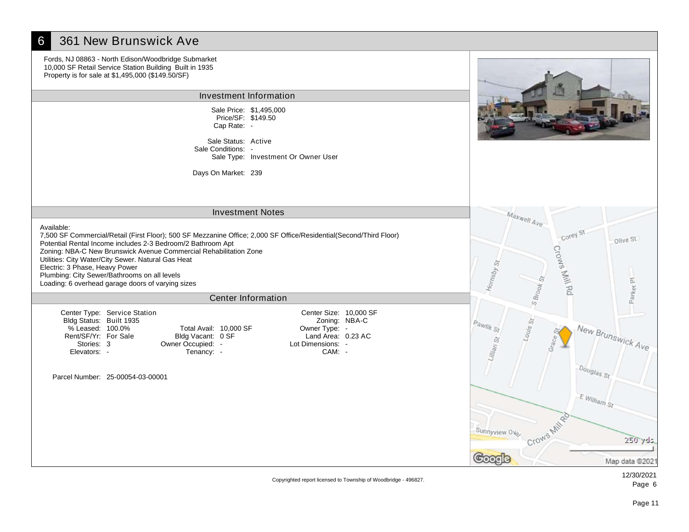# **6** 361 New Brunswick Ave

Fords, NJ 08863 - North Edison/Woodbridge Submarket 10,000 SF Retail Service Station Building Built in 1935 Property is for sale at \$1,495,000 (\$149.50/SF)

#### Investment Information

Sale Price: \$1,495,000 Cap Rate: - Price/SF: \$149.50

Sale Status: Active Sale Type: Investment Or Owner User Sale Conditions: -

Days On Market: 239



Corey St

Crows Mill Rd

Maxwell Ave

 $S_{B_{TOO_K}}$ 

Crows Mile

Louis<sub>St</sub>

Hornsby<sub>St</sub>

 $P_{ay_{lik}S_t}$ 

Sunnyview Olo

ooode

#### Investment Notes

Available:

7,500 SF Commercial/Retail (First Floor); 500 SF Mezzanine Office; 2,000 SF Office/Residential(Second/Third Floor) Potential Rental Income includes 2-3 Bedroom/2 Bathroom Apt Zoning: NBA-C New Brunswick Avenue Commercial Rehabilitation Zone Utilities: City Water/City Sewer. Natural Gas Heat Electric: 3 Phase, Heavy Power Plumbing: City Sewer/Bathrooms on all levels Loading: 6 overhead garage doors of varying sizes

#### Center Information

Center Type: Service Station Bldg Status: Built 1935 Rent/SF/Yr: For Sale % Leased: 100.0% Stories: 3 Elevators: -

Bldg Vacant: 0 SF Total Avail: 10,000 SF Owner Occupied: - Lot Dimensions: -

Owner Type: - Center Size: 10,000 SF Zoning: NBA-C Land Area: 0.23 AC Tenancy:  $\sim$  CAM: -

Parcel Number: 25-00054-03-00001

Map data @2021

olive St

Parker<sub>PI</sub>

New Brunswick Ave

Douglas<sub>St</sub>

E.William St

Copyrighted report licensed to Township of Woodbridge - 496827.

12/30/2021 Page 6

250 yds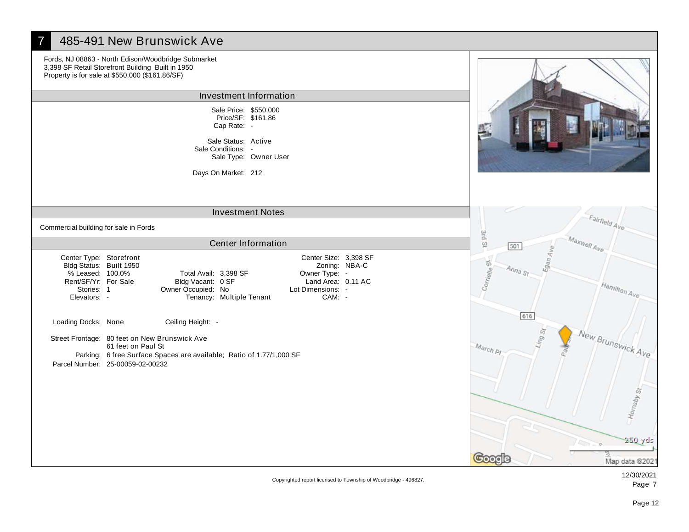# 485-491 New Brunswick Ave

Fords, NJ 08863 - North Edison/Woodbridge Submarket 3,398 SF Retail Storefront Building Built in 1950 Property is for sale at \$550,000 (\$161.86/SF)

#### Investment Information

Sale Price: \$550,000 Cap Rate: - Price/SF: \$161.86

Sale Status: Active Sale Type: Owner User Sale Conditions: -

Days On Market: 212

# Investment Notes

Commercial building for sale in Fords

## Center Information

Center Type: Storefront Owner Type: - Bldg Status: Built 1950 Bldg Vacant: 0 SF Total Avail: 3,398 SF Rent/SF/Yr: For Sale % Leased: 100.0% Stories: 1 Elevators: - Owner Occupied: No Lot Dimensions: - Center Size: 3,398 SF Zoning: NBA-C Land Area: 0.11 AC Tenancy: Multiple Tenant Loading Docks: None Ceiling Height: -Street Frontage: 80 feet on New Brunswick Ave 61 feet on Paul St

Parking: 6 free Surface Spaces are available; Ratio of 1.77/1,000 SF Parcel Number: 25-00059-02-00232

3rd St

Corrielle<sup>51</sup>

March<sub>PI</sub>

Google

501

 $A_{n_{na} s_t}$ 

lan<sub>A</sub>



Fairfield Ave

Hamilton Ave

Maxwell Ave

Copyrighted report licensed to Township of Woodbridge - 496827.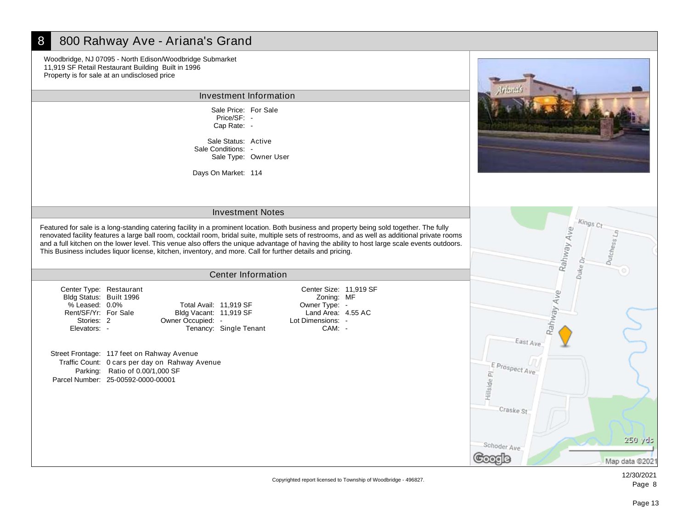### 8 800 Rahway Ave - Ariana's Grand Woodbridge, NJ 07095 - North Edison/Woodbridge Submarket 11,919 SF Retail Restaurant Building Built in 1996 Property is for sale at an undisclosed price Investment Information Sale Price: For Sale Price/SF: - Cap Rate: - Sale Status: Active Sale Conditions: - Sale Type: Owner User Days On Market: 114 Investment Notes Kings Rahway Ave Featured for sale is a long-standing catering facility in a prominent location. Both business and property being sold together. The fully renovated facility features a large ball room, cocktail room, bridal suite, multiple sets of restrooms, and as well as additional private rooms and a full kitchen on the lower level. This venue also offers the unique advantage of having the ability to host large scale events outdoors. This Business includes liquor license, kitchen, inventory, and more. Call for further details and pricing.  $Duke$  Dr Center Information Center Type: Restaurant Center Size: 11,919 SF Rahway Ave Zoning: MF Bldg Status: Built 1996 % Leased: 0.0% Total Avail: 11,919 SF Owner Type: - Rent/SF/Yr: For Sale Land Area: 4.55 AC Bldg Vacant: 11,919 SF Owner Occupied: Lot Dimensions: Stories: 2 Elevators: - Tenancy: Single Tenant CAM: -East Ave Street Frontage: 117 feet on Rahway Avenue Traffic Count: 0 cars per day on Rahway Avenue  $E_{Prospect Ave}$ Parking: Ratio of 0.00/1,000 SF Hillside PJ Parcel Number: 25-00592-0000-00001 Craske St 250 yds Schoder Ave 200ale Map data @2021

Copyrighted report licensed to Township of Woodbridge - 496827.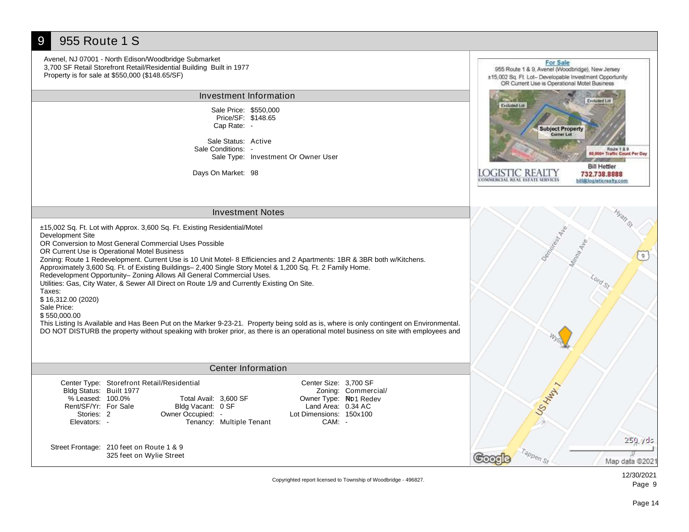#### 9 955 Route 1 S Avenel, NJ 07001 - North Edison/Woodbridge Submarket For Sale 3,700 SF Retail Storefront Retail/Residential Building Built in 1977 955 Route 1 & 9, Avenel (Woodbridge), New Jersey Property is for sale at \$550,000 (\$148.65/SF) ±15,002 Sq. Ft. Lot- Developable Investment Opportunity OR Current Use is Operational Motel Business Investment Information Excluded Lot Excluded Lot Sale Price: \$550,000 Price/SF: \$148.65 Cap Rate: - **Subject Property** Corner Lo Sale Status: Active Route 1 & 9<br>\$8,800+ Traffic Count Per Day Sale Conditions: - Sale Type: Investment Or Owner User **Bill Hettler** Days On Market: 98 LOGISTIC REALTY<br>commercial real estate services 732.738.8888 bill@logisticrealty.com Investment Notes ±15,002 Sq. Ft. Lot with Approx. 3,600 Sq. Ft. Existing Residential/Motel Development Site OR Conversion to Most General Commercial Uses Possible OR Current Use is Operational Motel Business  $9<sup>1</sup>$ Zoning: Route 1 Redevelopment. Current Use is 10 Unit Motel- 8 Efficiencies and 2 Apartments: 1BR & 3BR both w/Kitchens. Approximately 3,600 Sq. Ft. of Existing Buildings– 2,400 Single Story Motel & 1,200 Sq. Ft. 2 Family Home. Redevelopment Opportunity– Zoning Allows All General Commercial Uses. Utilities: Gas, City Water, & Sewer All Direct on Route 1/9 and Currently Existing On Site. Taxes: \$ 16,312.00 (2020) Sale Price: \$ 550,000.00 This Listing Is Available and Has Been Put on the Marker 9-23-21. Property being sold as is, where is only contingent on Environmental. DO NOT DISTURB the property without speaking with broker prior, as there is an operational motel business on site with employees and

# Center Information

| Bldg Status: Built 1977 | Center Type: Storefront Retail/Residential |                          | Center Size: 3,700 SF        | Zoning: Commercial/ |
|-------------------------|--------------------------------------------|--------------------------|------------------------------|---------------------|
| % Leased: 100.0%        | Total Avail: 3,600 SF                      |                          | Owner Type: <b>Rb1</b> Redev |                     |
| Rent/SF/Yr: For Sale    | Bldg Vacant: 0 SF                          |                          | Land Area: 0.34 AC           |                     |
| Stories: 2              | Owner Occupied: -                          |                          | Lot Dimensions: 150x100      |                     |
| Elevators: -            |                                            | Tenancy: Multiple Tenant | CAM: -                       |                     |
|                         |                                            |                          |                              |                     |

Street Frontage: 210 feet on Route 1 & 9 325 feet on Wylie Street

Map data @2021

US HAWLY

Tappen St

pooale

Copyrighted report licensed to Township of Woodbridge - 496827.

250 yds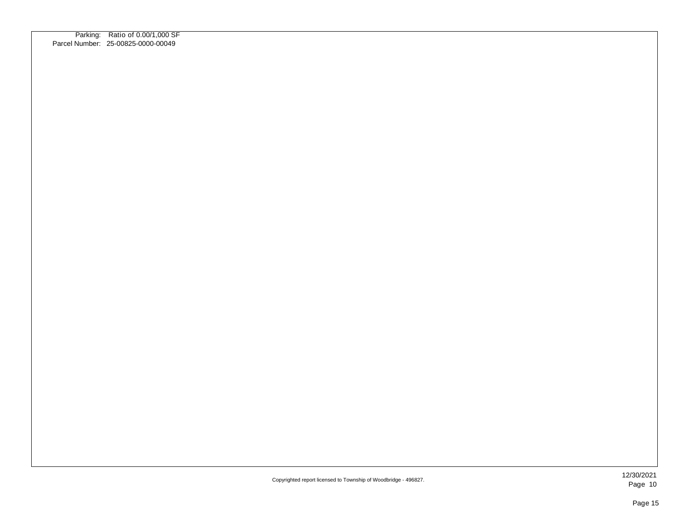| Parking: Ratio of 0.00/1,000 SF<br>Parcel Number: 25-00825-0000-00049 |
|-----------------------------------------------------------------------|
|                                                                       |
|                                                                       |
|                                                                       |
|                                                                       |
|                                                                       |
|                                                                       |
|                                                                       |
|                                                                       |
|                                                                       |
|                                                                       |
|                                                                       |
|                                                                       |
|                                                                       |
|                                                                       |
|                                                                       |
|                                                                       |
|                                                                       |
|                                                                       |
|                                                                       |
|                                                                       |
|                                                                       |
|                                                                       |
|                                                                       |
|                                                                       |
|                                                                       |
|                                                                       |
|                                                                       |
|                                                                       |
|                                                                       |
|                                                                       |
|                                                                       |
|                                                                       |
|                                                                       |
|                                                                       |
|                                                                       |
|                                                                       |
|                                                                       |
|                                                                       |
|                                                                       |
|                                                                       |
|                                                                       |
|                                                                       |
|                                                                       |
|                                                                       |
|                                                                       |
|                                                                       |
|                                                                       |
|                                                                       |
|                                                                       |
|                                                                       |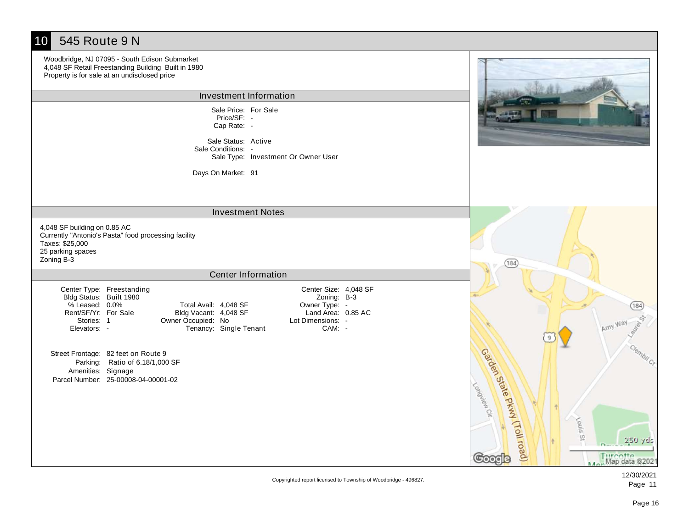| 545 Route 9 N<br>10                                                                                                                                                                                                                                                                                                                        |                                                                                                                           |
|--------------------------------------------------------------------------------------------------------------------------------------------------------------------------------------------------------------------------------------------------------------------------------------------------------------------------------------------|---------------------------------------------------------------------------------------------------------------------------|
| Woodbridge, NJ 07095 - South Edison Submarket<br>4,048 SF Retail Freestanding Building Built in 1980<br>Property is for sale at an undisclosed price                                                                                                                                                                                       |                                                                                                                           |
| Investment Information                                                                                                                                                                                                                                                                                                                     |                                                                                                                           |
| Sale Price: For Sale<br>Price/SF:<br>Cap Rate: -                                                                                                                                                                                                                                                                                           |                                                                                                                           |
| Sale Status: Active<br>Sale Conditions: -<br>Sale Type: Investment Or Owner User                                                                                                                                                                                                                                                           |                                                                                                                           |
| Days On Market: 91                                                                                                                                                                                                                                                                                                                         |                                                                                                                           |
| <b>Investment Notes</b>                                                                                                                                                                                                                                                                                                                    |                                                                                                                           |
| 4,048 SF building on 0.85 AC<br>Currently "Antonio's Pasta" food processing facility<br>Taxes: \$25,000<br>25 parking spaces<br>Zoning B-3                                                                                                                                                                                                 | (184)                                                                                                                     |
| Center Information                                                                                                                                                                                                                                                                                                                         |                                                                                                                           |
| Center Size: 4,048 SF<br>Center Type: Freestanding<br>Bldg Status: Built 1980<br>Zoning: B-3<br>% Leased: 0.0%<br>Total Avail: 4,048 SF<br>Owner Type: -<br>Land Area: 0.85 AC<br>Rent/SF/Yr: For Sale<br>Bldg Vacant: 4,048 SF<br>Owner Occupied: No<br>Lot Dimensions: -<br>Stories: 1<br>Tenancy: Single Tenant<br>Elevators: -<br>CAM: | 184)<br>Amy Way                                                                                                           |
| Street Frontage: 82 feet on Route 9<br>Parking: Ratio of 6.18/1,000 SF<br>Amenities: Signage<br>Parcel Number: 25-00008-04-00001-02                                                                                                                                                                                                        | Clembil <sub>Cr</sub><br>Garden State Pkwy (Toll road)<br>Longites Cit<br>Vouls St<br>250 yds<br>Map data @2021<br>Google |

Copyrighted report licensed to Township of Woodbridge - 496827.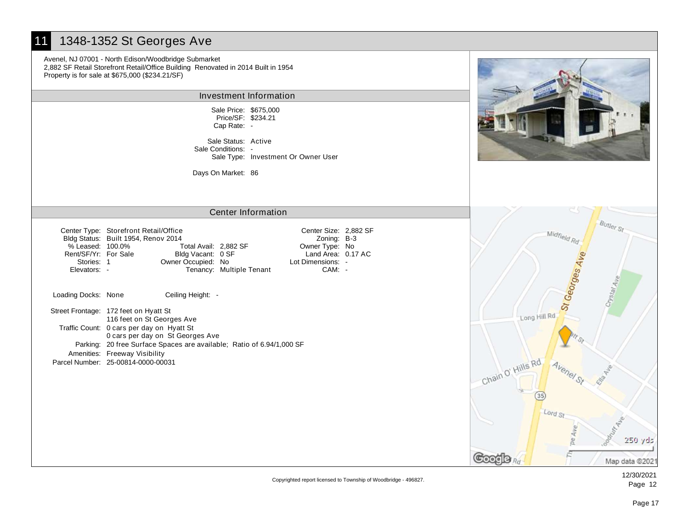# 11 1348-1352 St Georges Ave

Avenel, NJ 07001 - North Edison/Woodbridge Submarket 2,882 SF Retail Storefront Retail/Office Building Renovated in 2014 Built in 1954 Property is for sale at \$675,000 (\$234.21/SF)

## Investment Information

Sale Price: \$675,000 Cap Rate: - Price/SF: \$234.21

Sale Status: Active Sale Type: Investment Or Owner User Sale Conditions: -

Days On Market: 86



Pe Ave

Ē

**Butler** St

 $s$ lal $A_1$ 

# Center Information

| % Leased: 100.0%<br>Rent/SF/Yr: For Sale<br>Stories: 1<br>Elevators: - | Center Type: Storefront Retail/Office<br>Bldg Status: Built 1954, Renov 2014<br>Total Avail: 2,882 SF<br>Bldg Vacant: 0 SF<br>Owner Occupied: No | Tenancy: Multiple Tenant | Center Size: 2,882 SF<br>Zoning: B-3<br>Owner Type: No<br>Land Area: 0.17 AC<br>Lot Dimensions: -<br>CAM: | Midfield <sub>R</sub><br><sup>t</sup> Georges |
|------------------------------------------------------------------------|--------------------------------------------------------------------------------------------------------------------------------------------------|--------------------------|-----------------------------------------------------------------------------------------------------------|-----------------------------------------------|
| Loading Docks: None                                                    | Ceiling Height: -                                                                                                                                |                          |                                                                                                           |                                               |
|                                                                        | Street Frontage: 172 feet on Hyatt St<br>116 feet on St Georges Ave                                                                              |                          |                                                                                                           | Long Hill Rd                                  |
|                                                                        | Traffic Count: 0 cars per day on Hyatt St<br>0 cars per day on St Georges Ave                                                                    |                          |                                                                                                           |                                               |
|                                                                        | Parking: 20 free Surface Spaces are available; Ratio of 6.94/1,000 SF<br>Amenities: Freeway Visibility                                           |                          |                                                                                                           |                                               |
|                                                                        | Parcel Number: 25-00814-0000-00031                                                                                                               |                          |                                                                                                           | Chain O' Hills Rd                             |
|                                                                        |                                                                                                                                                  |                          |                                                                                                           |                                               |

Coot la Rd

12/30/2021 Page 12

Map data @2021

250 yds

ý

Copyrighted report licensed to Township of Woodbridge - 496827.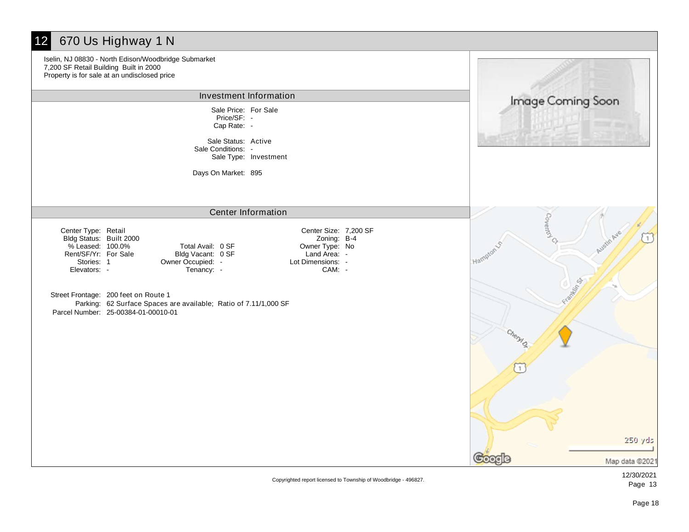# 12 670 Us Highway 1 N

Iselin, NJ 08830 - North Edison/Woodbridge Submarket 7,200 SF Retail Building Built in 2000 Property is for sale at an undisclosed price Investment Information Image Coming Soon Sale Price: For Sale Price/SF: - Cap Rate: - Sale Status: Active Sale Conditions: - Sale Type: Investment Days On Market: 895 Center Information Center Size: 7,200 SF Center Type: Retail Zoning: B-4 Bldg Status: Built 2000 % Leased: 100.0% Total Avail: 0 SF Owner Type: No Rent/SF/Yr: For Sale Land Area: -Bldg Vacant: 0 SF Owner Occupied: - Lot Dimensions: -Stories: 1 Elevators: - Tenancy:  $\sim$  CAM: -Street Frontage: 200 feet on Route 1 Parking: 62 Surface Spaces are available; Ratio of 7.11/1,000 SF Parcel Number: 25-00384-01-00010-01

**Coverto**  $\tau$ Mag 250 yds

ooode

Map data @2021

Copyrighted report licensed to Township of Woodbridge - 496827.